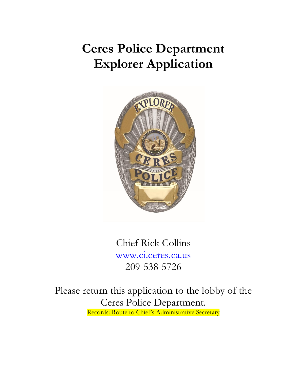# **Ceres Police Department Explorer Application**



Chief Rick Collins [www.ci.ceres.ca.us](http://www.ci.ceres.ca.us/) 209-538-5726

Please return this application to the lobby of the Ceres Police Department. Records: Route to Chief's Administrative Secretary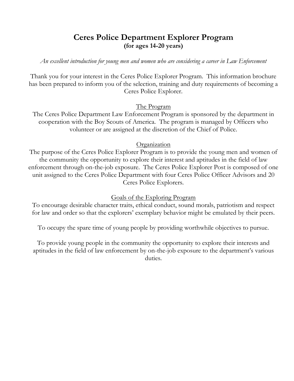# **Ceres Police Department Explorer Program (for ages 14-20 years)**

*An excellent introduction for young men and women who are considering a career in Law Enforcement*

Thank you for your interest in the Ceres Police Explorer Program. This information brochure has been prepared to inform you of the selection, training and duty requirements of becoming a Ceres Police Explorer.

#### The Program

The Ceres Police Department Law Enforcement Program is sponsored by the department in cooperation with the Boy Scouts of America. The program is managed by Officers who volunteer or are assigned at the discretion of the Chief of Police.

#### **Organization**

The purpose of the Ceres Police Explorer Program is to provide the young men and women of the community the opportunity to explore their interest and aptitudes in the field of law enforcement through on-the-job exposure. The Ceres Police Explorer Post is composed of one unit assigned to the Ceres Police Department with four Ceres Police Officer Advisors and 20 Ceres Police Explorers.

## Goals of the Exploring Program

To encourage desirable character traits, ethical conduct, sound morals, patriotism and respect for law and order so that the explorers' exemplary behavior might be emulated by their peers.

To occupy the spare time of young people by providing worthwhile objectives to pursue.

To provide young people in the community the opportunity to explore their interests and aptitudes in the field of law enforcement by on-the-job exposure to the department's various duties.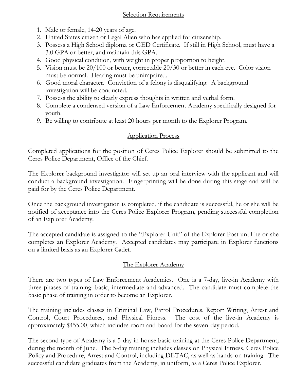## Selection Requirements

- 1. Male or female, 14-20 years of age.
- 2. United States citizen or Legal Alien who has applied for citizenship.
- 3. Possess a High School diploma or GED Certificate. If still in High School, must have a 3.0 GPA or better, and maintain this GPA.
- 4. Good physical condition, with weight in proper proportion to height.
- 5. Vision must be 20/100 or better, correctable 20/30 or better in each eye. Color vision must be normal. Hearing must be unimpaired.
- 6. Good moral character. Conviction of a felony is disqualifying. A background investigation will be conducted.
- 7. Possess the ability to clearly express thoughts in written and verbal form.
- 8. Complete a condensed version of a Law Enforcement Academy specifically designed for youth.
- 9. Be willing to contribute at least 20 hours per month to the Explorer Program.

## Application Process

Completed applications for the position of Ceres Police Explorer should be submitted to the Ceres Police Department, Office of the Chief.

The Explorer background investigator will set up an oral interview with the applicant and will conduct a background investigation. Fingerprinting will be done during this stage and will be paid for by the Ceres Police Department.

Once the background investigation is completed, if the candidate is successful, he or she will be notified of acceptance into the Ceres Police Explorer Program, pending successful completion of an Explorer Academy.

The accepted candidate is assigned to the "Explorer Unit" of the Explorer Post until he or she completes an Explorer Academy. Accepted candidates may participate in Explorer functions on a limited basis as an Explorer Cadet.

# The Explorer Academy

There are two types of Law Enforcement Academies. One is a 7-day, live-in Academy with three phases of training: basic, intermediate and advanced. The candidate must complete the basic phase of training in order to become an Explorer.

The training includes classes in Criminal Law, Patrol Procedures, Report Writing, Arrest and Control, Court Procedures, and Physical Fitness. The cost of the live-in Academy is approximately \$455.00, which includes room and board for the seven-day period.

The second type of Academy is a 5-day in-house basic training at the Ceres Police Department, during the month of June. The 5-day training includes classes on Physical Fitness, Ceres Police Policy and Procedure, Arrest and Control, including DETAC, as well as hands-on training. The successful candidate graduates from the Academy, in uniform, as a Ceres Police Explorer.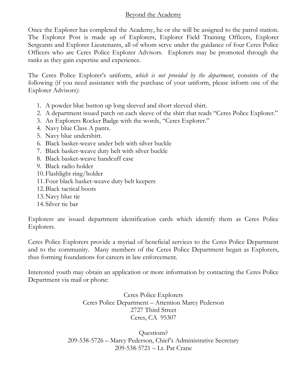## Beyond the Academy

Once the Explorer has completed the Academy, he or she will be assigned to the patrol station. The Explorer Post is made up of Explorers, Explorer Field Training Officers, Explorer Sergeants and Explorer Lieutenants, all of whom serve under the guidance of four Ceres Police Officers who are Ceres Police Explorer Advisors. Explorers may be promoted through the ranks as they gain expertise and experience.

The Ceres Police Explorer's uniform, *which is not provided by the department*, consists of the following (if you need assistance with the purchase of your uniform, please inform one of the Explorer Advisors):

- 1. A powder blue button up long sleeved and short sleeved shirt.
- 2. A department issued patch on each sleeve of the shirt that reads "Ceres Police Explorer."
- 3. An Explorers Rocker Badge with the words, "Ceres Explorer."
- 4. Navy blue Class A pants.
- 5. Navy blue undershirt.
- 6. Black basket-weave under belt with silver buckle
- 7. Black basket-weave duty belt with silver buckle
- 8. Black basket-weave handcuff case
- 9. Black radio holder
- 10.Flashlight ring/holder
- 11.Four black basket-weave duty belt keepers
- 12.Black tactical boots
- 13.Navy blue tie
- 14. Silver tie bar

Explorers are issued department identification cards which identify them as Ceres Police Explorers.

Ceres Police Explorers provide a myriad of beneficial services to the Ceres Police Department and to the community. Many members of the Ceres Police Department began as Explorers, thus forming foundations for careers in law enforcement.

Interested youth may obtain an application or more information by contacting the Ceres Police Department via mail or phone:

> Ceres Police Explorers Ceres Police Department – Attention Marcy Pederson 2727 Third Street Ceres, CA 95307

Questions? 209-538-5726 – Marcy Pederson, Chief's Administrative Secretary 209-538-5721 – Lt. Pat Crane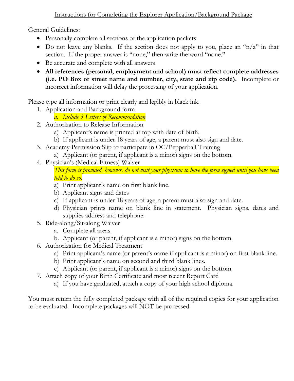# Instructions for Completing the Explorer Application/Background Package

General Guidelines:

- Personally complete all sections of the application packets
- Do not leave any blanks. If the section does not apply to you, place an "n/a" in that section. If the proper answer is "none," then write the word "none."
- Be accurate and complete with all answers
- **All references (personal, employment and school) must reflect complete addresses (i.e. PO Box or street name and number, city, state and zip code).** Incomplete or incorrect information will delay the processing of your application.

Please type all information or print clearly and legibly in black ink.

- 1. Application and Background form
	- *a. Include 3 Letters of Recommendation*
- 2. Authorization to Release Information
	- a) Applicant's name is printed at top with date of birth.
	- b) If applicant is under 18 years of age, a parent must also sign and date.
- 3. Academy Permission Slip to participate in OC/Pepperball Training
	- a) Applicant (or parent, if applicant is a minor) signs on the bottom.
- 4. Physician's (Medical Fitness) Waiver

*This form is provided, however, do not visit your physician to have the form signed until you have been told to do so.*

- a) Print applicant's name on first blank line.
- b) Applicant signs and dates
- c) If applicant is under 18 years of age, a parent must also sign and date.
- d) Physician prints name on blank line in statement. Physician signs, dates and supplies address and telephone.
- 5. Ride-along/Sit-along Waiver
	- a. Complete all areas
	- b. Applicant (or parent, if applicant is a minor) signs on the bottom.
- 6. Authorization for Medical Treatment
	- a) Print applicant's name (or parent's name if applicant is a minor) on first blank line.
	- b) Print applicant's name on second and third blank lines.
	- c) Applicant (or parent, if applicant is a minor) signs on the bottom.
- 7. Attach copy of your Birth Certificate and most recent Report Card
	- a) If you have graduated, attach a copy of your high school diploma.

You must return the fully completed package with all of the required copies for your application to be evaluated. Incomplete packages will NOT be processed.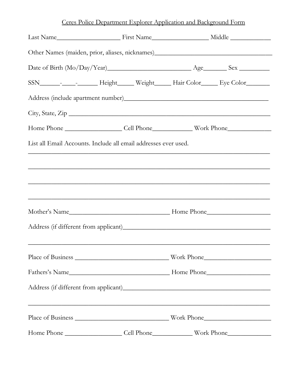# Ceres Police Department Explorer Application and Background Form

|                                                                                                                      |  |  |  | SSN_________________________Height_______Weight_______Hair Color________Eye Color_________ |  |
|----------------------------------------------------------------------------------------------------------------------|--|--|--|--------------------------------------------------------------------------------------------|--|
|                                                                                                                      |  |  |  |                                                                                            |  |
| City, State, Zip                                                                                                     |  |  |  |                                                                                            |  |
|                                                                                                                      |  |  |  |                                                                                            |  |
| List all Email Accounts. Include all email addresses ever used.                                                      |  |  |  |                                                                                            |  |
|                                                                                                                      |  |  |  |                                                                                            |  |
| <u> 1990 - Jan James James James James James James James James James James James James James James James James J</u> |  |  |  |                                                                                            |  |
|                                                                                                                      |  |  |  | ,我们也不会有什么?""我们的人,我们也不会有什么?""我们的人,我们也不会有什么?""我们的人,我们也不会有什么?""我们的人,我们也不会有什么?""我们的人           |  |
|                                                                                                                      |  |  |  |                                                                                            |  |
|                                                                                                                      |  |  |  |                                                                                            |  |
|                                                                                                                      |  |  |  |                                                                                            |  |
|                                                                                                                      |  |  |  |                                                                                            |  |
|                                                                                                                      |  |  |  |                                                                                            |  |
|                                                                                                                      |  |  |  |                                                                                            |  |
|                                                                                                                      |  |  |  |                                                                                            |  |
|                                                                                                                      |  |  |  |                                                                                            |  |
|                                                                                                                      |  |  |  |                                                                                            |  |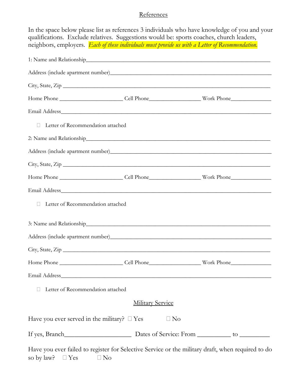## **References**

In the space below please list as references 3 individuals who have knowledge of you and your qualifications. Exclude relatives. Suggestions would be: sports coaches, church leaders, neighbors, employers. *Each of these individuals must provide us with a Letter of Recommendation.*

| Letter of Recommendation attached<br>П                                                                                                  |                         |  |
|-----------------------------------------------------------------------------------------------------------------------------------------|-------------------------|--|
|                                                                                                                                         |                         |  |
|                                                                                                                                         |                         |  |
|                                                                                                                                         |                         |  |
|                                                                                                                                         |                         |  |
|                                                                                                                                         |                         |  |
| Letter of Recommendation attached                                                                                                       |                         |  |
|                                                                                                                                         |                         |  |
|                                                                                                                                         |                         |  |
|                                                                                                                                         |                         |  |
|                                                                                                                                         |                         |  |
|                                                                                                                                         |                         |  |
| Letter of Recommendation attached                                                                                                       |                         |  |
|                                                                                                                                         | <b>Military Service</b> |  |
| Have you ever served in the military? $\Box$ Yes                                                                                        | $\Box$ No               |  |
|                                                                                                                                         |                         |  |
| Have you ever failed to register for Selective Service or the military draft, when required to do<br>so by law? $\Box$ Yes<br>$\Box$ No |                         |  |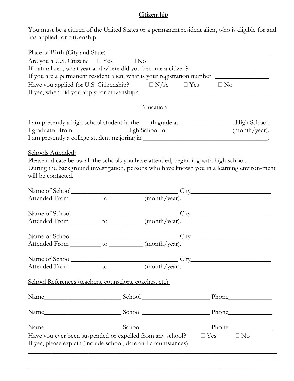# **Citizenship**

You must be a citizen of the United States or a permanent resident alien, who is eligible for and has applied for citizenship.

| Place of Birth (City and State)                                                                                              |           |                                                                                            |
|------------------------------------------------------------------------------------------------------------------------------|-----------|--------------------------------------------------------------------------------------------|
| Are you a U.S. Citizen? $\Box$ Yes $\Box$ No                                                                                 |           |                                                                                            |
| If naturalized, what year and where did you become a citizen? __________________                                             |           |                                                                                            |
| If you are a permanent resident alien, what is your registration number? __________________________                          |           |                                                                                            |
| Have you applied for U.S. Citizenship? $\Box N/A$ $\Box$ Yes $\Box$ No                                                       |           |                                                                                            |
|                                                                                                                              |           |                                                                                            |
|                                                                                                                              | Education |                                                                                            |
|                                                                                                                              |           |                                                                                            |
| I am presently a high school student in the ___th grade at ___________________High School.                                   |           |                                                                                            |
| I graduated from ________________________High School in _______________________(month/year).                                 |           |                                                                                            |
|                                                                                                                              |           |                                                                                            |
|                                                                                                                              |           |                                                                                            |
| Schools Attended:<br>Please indicate below all the schools you have attended, beginning with high school.                    |           |                                                                                            |
|                                                                                                                              |           | During the background investigation, persons who have known you in a learning environ-ment |
| will be contacted.                                                                                                           |           |                                                                                            |
|                                                                                                                              |           |                                                                                            |
| Name of School<br>Attended From _________ to __________ (month/year).                                                        |           |                                                                                            |
|                                                                                                                              |           |                                                                                            |
|                                                                                                                              |           |                                                                                            |
| Attended From ___________ to ___________ (month/year).                                                                       |           |                                                                                            |
|                                                                                                                              |           |                                                                                            |
|                                                                                                                              |           |                                                                                            |
| Attended From ___________ to ___________ (month/year).                                                                       |           |                                                                                            |
|                                                                                                                              |           |                                                                                            |
|                                                                                                                              |           |                                                                                            |
| Attended From ___________ to ___________ (month/year).                                                                       |           |                                                                                            |
|                                                                                                                              |           |                                                                                            |
| School References (teachers, counselors, coaches, etc):                                                                      |           |                                                                                            |
|                                                                                                                              |           |                                                                                            |
|                                                                                                                              |           |                                                                                            |
|                                                                                                                              |           |                                                                                            |
|                                                                                                                              |           |                                                                                            |
|                                                                                                                              |           |                                                                                            |
| Have you ever been suspended or expelled from any school?<br>If yes, please explain (include school, date and circumstances) |           | $\Box$ Yes $\Box$ No                                                                       |
|                                                                                                                              |           |                                                                                            |
|                                                                                                                              |           |                                                                                            |

\_\_\_\_\_\_\_\_\_\_\_\_\_\_\_\_\_\_\_\_\_\_\_\_\_\_\_\_\_\_\_\_\_\_\_\_\_\_\_\_\_\_\_\_\_\_\_\_\_\_\_\_\_\_\_\_\_\_\_\_\_\_\_\_\_\_\_\_\_\_\_\_\_\_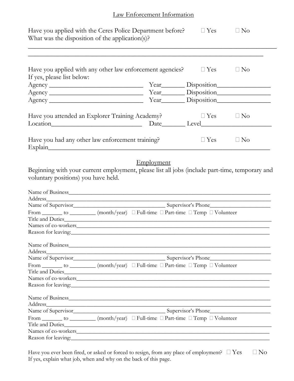# Law Enforcement Information

| Have you applied with any other law enforcement agencies?<br>If yes, please list below:                                                                                                                  | $\Box$ Yes<br>Year Bisposition Electric Disposition | $\Box$ No |
|----------------------------------------------------------------------------------------------------------------------------------------------------------------------------------------------------------|-----------------------------------------------------|-----------|
|                                                                                                                                                                                                          |                                                     |           |
|                                                                                                                                                                                                          |                                                     |           |
| Have you attended an Explorer Training Academy?                                                                                                                                                          | $\Box$ Yes                                          | $\Box$ No |
| Have you had any other law enforcement training?                                                                                                                                                         | $\Box$ Yes                                          | $\Box$ No |
|                                                                                                                                                                                                          |                                                     |           |
| From ________ to _________ (month/year) □ Full-time □ Part-time □ Temp □ Volunteer<br>Names of co-workers experience and the state of co-workers and the state of co-workers and the state of co-workers |                                                     |           |
|                                                                                                                                                                                                          |                                                     |           |
| From _________ to __________ (month/year) □ Full-time □ Part-time □ Temp □ Volunteer<br>Title and Duties                                                                                                 |                                                     |           |
|                                                                                                                                                                                                          |                                                     |           |
| Address_ https://www.accommunications.com/                                                                                                                                                               |                                                     |           |

Have you ever been fired, or asked or forced to resign, from any place of employment?  $\Box$  Yes  $\Box$  No If yes, explain what job, when and why on the back of this page.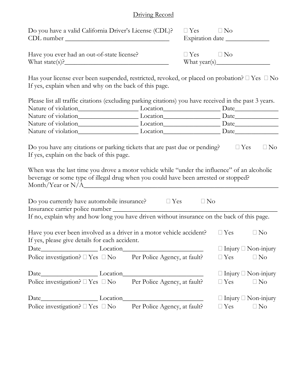#### Driving Record

| Do you have a valid California Driver's License (CDL)? $\square$ Yes | $\Box$ No               |
|----------------------------------------------------------------------|-------------------------|
| CDL number                                                           | Expiration date         |
|                                                                      |                         |
| Have you ever had an out-of-state license?                           | $\Box$ Yes<br>$\Box$ No |
|                                                                      | What $\text{year}(s)$   |

Has your license ever been suspended, restricted, revoked, or placed on probation?  $\Box$  Yes  $\Box$  No If yes, explain when and why on the back of this page.

| Please list all traffic citations (excluding parking citations) you have received in the past 3 years. |          |      |
|--------------------------------------------------------------------------------------------------------|----------|------|
| Nature of violation                                                                                    | Location | Date |
| Nature of violation                                                                                    | Location | Date |
| Nature of violation                                                                                    | Location | Date |
| Nature of violation                                                                                    | Location | Date |

Do you have any citations or parking tickets that are past due or pending?  $\square$  Yes  $\square$  No If yes, explain on the back of this page.

When was the last time you drove a motor vehicle while "under the influence" of an alcoholic beverage or some type of illegal drug when you could have been arrested or stopped? Month/Year or  $N/A$ 

| Do you currently have automobile insurance?<br>Insurance carrier police number __                                      |                              | $\Box$ Yes | $\Box$ No |                                 |           |
|------------------------------------------------------------------------------------------------------------------------|------------------------------|------------|-----------|---------------------------------|-----------|
| If no, explain why and how long you have driven without insurance on the back of this page.                            |                              |            |           |                                 |           |
| Have you ever been involved as a driver in a motor vehicle accident?<br>If yes, please give details for each accident. |                              |            |           | $\Box$ Yes                      | ∃No       |
|                                                                                                                        |                              |            |           | $\Box$ Injury $\Box$ Non-injury |           |
| Police investigation? $\Box$ Yes $\Box$ No Per Police Agency, at fault?                                                |                              |            |           | $\Box$ Yes                      | $\Box$ No |
| Date Location                                                                                                          |                              |            |           | $\Box$ Injury $\Box$ Non-injury |           |
| Police investigation? $\Box$ Yes $\Box$ No                                                                             | Per Police Agency, at fault? |            |           | $\Box$ Yes                      | $\Box$ No |

| Date                                       | Location |                              |                      | $\Box$ Injury $\Box$ Non-injury |
|--------------------------------------------|----------|------------------------------|----------------------|---------------------------------|
| Police investigation? $\Box$ Yes $\Box$ No |          | Per Police Agency, at fault? | $\Box$ Yes $\Box$ No |                                 |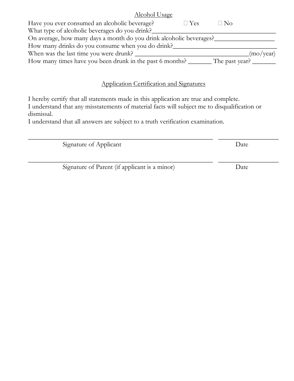#### Alcohol Usage

| Have you ever consumed an alcoholic beverage?<br>$\Box$ Yes<br>$\Box$ No               |  |
|----------------------------------------------------------------------------------------|--|
| What type of alcoholic beverages do you drink?                                         |  |
| On average, how many days a month do you drink alcoholic beverages?                    |  |
| How many drinks do you consume when you do drink?                                      |  |
| When was the last time you were drunk?<br>(mo/year)                                    |  |
| How many times have you been drunk in the past 6 months?<br>$\_$ The past year? $\_\_$ |  |

## Application Certification and Signatures

\_\_\_\_\_\_\_\_\_\_\_\_\_\_\_\_\_\_\_\_\_\_\_\_\_\_\_\_\_\_\_\_\_\_\_\_\_\_\_\_\_\_\_\_\_\_\_\_\_\_\_\_\_\_\_ \_\_\_\_\_\_\_\_\_\_\_\_\_\_\_\_\_\_

I hereby certify that all statements made in this application are true and complete. I understand that any misstatements of material facts will subject me to disqualification or dismissal.

I understand that all answers are subject to a truth verification examination.

Signature of Applicant Date

Signature of Parent (if applicant is a minor) Date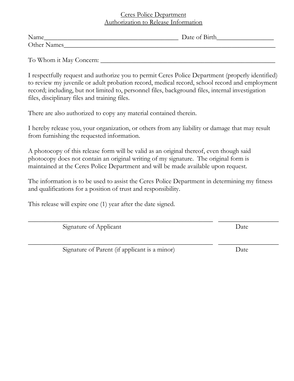#### Ceres Police Department Authorization to Release Information

| Name        | Date of Birth |
|-------------|---------------|
| Other Names |               |

To Whom it May Concern:

I respectfully request and authorize you to permit Ceres Police Department (properly identified) to review my juvenile or adult probation record, medical record, school record and employment record; including, but not limited to, personnel files, background files, internal investigation files, disciplinary files and training files.

There are also authorized to copy any material contained therein.

I hereby release you, your organization, or others from any liability or damage that may result from furnishing the requested information.

A photocopy of this release form will be valid as an original thereof, even though said photocopy does not contain an original writing of my signature. The original form is maintained at the Ceres Police Department and will be made available upon request.

The information is to be used to assist the Ceres Police Department in determining my fitness and qualifications for a position of trust and responsibility.

\_\_\_\_\_\_\_\_\_\_\_\_\_\_\_\_\_\_\_\_\_\_\_\_\_\_\_\_\_\_\_\_\_\_\_\_\_\_\_\_\_\_\_\_\_\_\_\_\_\_\_\_\_\_\_ \_\_\_\_\_\_\_\_\_\_\_\_\_\_\_\_\_\_

This release will expire one (1) year after the date signed.

Signature of Applicant Date

Signature of Parent (if applicant is a minor) Date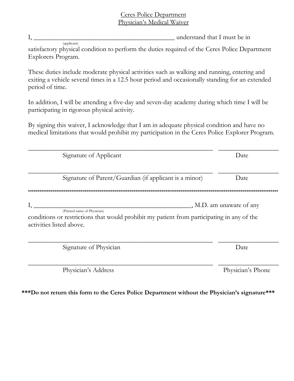## Ceres Police Department Physician's Medical Waiver

I, and in the indextand that I must be in

(applicant) satisfactory physical condition to perform the duties required of the Ceres Police Department Explorers Program.

These duties include moderate physical activities such as walking and running, entering and exiting a vehicle several times in a 12.5 hour period and occasionally standing for an extended period of time.

In addition, I will be attending a five-day and seven-day academy during which time I will be participating in rigorous physical activity.

By signing this waiver, I acknowledge that I am in adequate physical condition and have no medical limitations that would prohibit my participation in the Ceres Police Explorer Program.

\_\_\_\_\_\_\_\_\_\_\_\_\_\_\_\_\_\_\_\_\_\_\_\_\_\_\_\_\_\_\_\_\_\_\_\_\_\_\_\_\_\_\_\_\_\_\_\_\_\_\_\_\_\_\_ \_\_\_\_\_\_\_\_\_\_\_\_\_\_\_\_\_\_

Signature of Applicant Date

Signature of Parent/Guardian (if applicant is a minor) Date

**\*\*\*\*\*\*\*\*\*\*\*\*\*\*\*\*\*\*\*\*\*\*\*\*\*\*\*\*\*\*\*\*\*\*\*\*\*\*\*\*\*\*\*\*\*\*\*\*\*\*\*\*\*\*\*\*\*\*\*\*\*\*\*\*\*\*\*\*\*\*\*\*\*\*\*\*\*\*\*\*\*\*\*\*\*\*\*\*\*\*\*\*\*\*\*\*\*\*\*\*\*\*\*\*\*\*\*\*\*\*\*\*\*\*\*\*\*\*\*\*\*\*\*\*\*\*\*\*\*\*\*\*\***

I, \_\_\_\_\_\_\_\_\_\_\_\_\_\_\_\_\_\_\_\_\_\_\_\_\_\_\_\_\_\_\_\_\_\_\_\_\_\_\_\_\_\_\_\_\_\_\_, M.D. am unaware of any

(Printed name of Physician) conditions or restrictions that would prohibit my patient from participating in any of the activities listed above.

\_\_\_\_\_\_\_\_\_\_\_\_\_\_\_\_\_\_\_\_\_\_\_\_\_\_\_\_\_\_\_\_\_\_\_\_\_\_\_\_\_\_\_\_\_\_\_\_\_\_\_\_\_\_\_ \_\_\_\_\_\_\_\_\_\_\_\_\_\_\_\_\_\_ Signature of Physician Date

\_\_\_\_\_\_\_\_\_\_\_\_\_\_\_\_\_\_\_\_\_\_\_\_\_\_\_\_\_\_\_\_\_\_\_\_\_\_\_\_\_\_\_\_\_\_\_\_\_\_\_\_\_\_\_ \_\_\_\_\_\_\_\_\_\_\_\_\_\_\_\_\_\_ Physician's Address Physician's Phone

**\*\*\*Do not return this form to the Ceres Police Department without the Physician's signature\*\*\***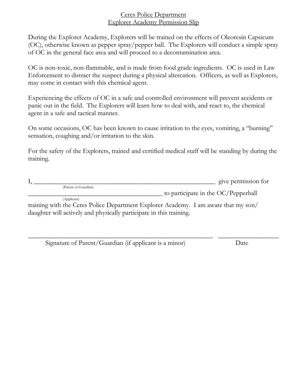## Ceres Police Department Explorer Academy Permission Slip

During the Explorer Academy, Explorers will be trained on the effects of Oleoresin Capsicum (OC), otherwise known as pepper spray/pepper ball. The Explorers will conduct a simple spray of OC in the general face area and will proceed to a decontamination area.

OC is non-toxic, non-flammable, and is made from food grade ingredients. OC is used in Law Enforcement to distract the suspect during a physical altercation. Officers, as well as Explorers, may come in contact with this chemical agent.

Experiencing the effects of OC in a safe and controlled environment will prevent accidents or panic out in the field. The Explorers will learn how to deal with, and react to, the chemical agent in a safe and tactical manner.

On some occasions, OC has been known to cause irritation to the eyes, vomiting, a "burning" sensation, coughing and/or irritation to the skin.

For the safety of the Explorers, trained and certified medical staff will be standing by during the training.

|                    | $\mathbf{r}$ |
|--------------------|--------------|
| Parent<br>Juardian |              |

to participate in the  $OC/Pe$ 

(Applicant) training with the Ceres Police Department Explorer Academy. I am aware that my son/ daughter will actively and physically participate in this training.

\_\_\_\_\_\_\_\_\_\_\_\_\_\_\_\_\_\_\_\_\_\_\_\_\_\_\_\_\_\_\_\_\_\_\_\_\_\_\_\_\_\_\_\_\_\_\_\_\_\_\_\_\_\_\_ \_\_\_\_\_\_\_\_\_\_\_\_\_\_\_\_\_\_ Signature of Parent/Guardian (if applicant is a minor) Date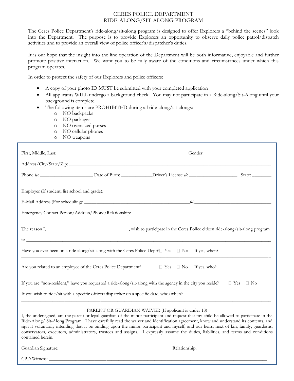#### CERES POLICE DEPARTMENT RIDE-ALONG/SIT-ALONG PROGRAM

The Ceres Police Department's ride-along/sit-along program is designed to offer Explorers a "behind the scenes" look into the Department. The purpose is to provide Explorers an opportunity to observe daily police patrol/dispatch activities and to provide an overall view of police officer's/dispatcher's duties.

It is our hope that the insight into the line operation of the Department will be both informative, enjoyable and further promote positive interaction. We want you to be fully aware of the conditions and circumstances under which this program operates.

In order to protect the safety of our Explorers and police officers:

- A copy of your photo ID MUST be submitted with your completed application
- All applicants WILL undergo a background check. You may not participate in a Ride-along/Sit-Along until your background is complete.
- The following items are PROHIBITED during all ride-along/sit-alongs:
	- o NO backpacks
	- o NO packages
	- o NO oversized purses
	- o NO cellular phones
	- o NO weapons

| Emergency Contact Person/Address/Phone/Relationship:                                     |                                                                                                                                                                                                                                                                                                                                                                                                                                                                                                                                                                                                                        |                      |
|------------------------------------------------------------------------------------------|------------------------------------------------------------------------------------------------------------------------------------------------------------------------------------------------------------------------------------------------------------------------------------------------------------------------------------------------------------------------------------------------------------------------------------------------------------------------------------------------------------------------------------------------------------------------------------------------------------------------|----------------------|
|                                                                                          | The reason I, _________________________________, wish to participate in the Ceres Police citizen ride-along/sit-along program                                                                                                                                                                                                                                                                                                                                                                                                                                                                                          |                      |
|                                                                                          |                                                                                                                                                                                                                                                                                                                                                                                                                                                                                                                                                                                                                        |                      |
|                                                                                          | Have you ever been on a ride-along/sit-along with the Ceres Police Dept? $\Box$ Yes $\Box$ No If yes, when?                                                                                                                                                                                                                                                                                                                                                                                                                                                                                                            |                      |
|                                                                                          | Are you related to an employee of the Ceres Police Department? $\Box$ Yes $\Box$ No If yes, who?                                                                                                                                                                                                                                                                                                                                                                                                                                                                                                                       |                      |
|                                                                                          | If you are "non-resident," have you requested a ride-along/sit-along with the agency in the city you reside?                                                                                                                                                                                                                                                                                                                                                                                                                                                                                                           | $\Box$ Yes $\Box$ No |
| If you wish to ride/sit with a specific officer/dispatcher on a specific date, who/when? |                                                                                                                                                                                                                                                                                                                                                                                                                                                                                                                                                                                                                        |                      |
| contained herein.                                                                        | PARENT OR GUARDIAN WAIVER (If applicant is under 18)<br>I, the undersigned, am the parent or legal guardian of the minor participant and request that my child be allowed to participate in the<br>Ride-Along/Sit-Along Program. I have carefully read the waiver and identification agreement, know and understand its contents, and<br>sign it voluntarily intending that it be binding upon the minor participant and myself, and our heirs, next of kin, family, guardians,<br>conservators, executors, administrators, trustees and assigns. I expressly assume the duties, liabilities, and terms and conditions |                      |

Guardian Signature: \_\_\_\_\_\_\_\_\_\_\_\_\_\_\_\_\_\_\_\_\_\_\_\_\_\_\_\_\_\_\_\_\_\_\_\_\_\_\_\_\_\_\_\_\_\_ Relationship: \_\_\_\_\_\_\_\_\_\_\_\_\_\_\_\_\_\_\_\_\_\_\_\_\_\_\_\_\_\_\_

CPD Witness: \_\_\_\_\_\_\_\_\_\_\_\_\_\_\_\_\_\_\_\_\_\_\_\_\_\_\_\_\_\_\_\_\_\_\_\_\_\_\_\_\_\_\_\_\_\_\_\_\_\_\_\_\_\_\_\_\_\_\_\_\_\_\_\_\_\_\_\_\_\_\_\_\_\_\_\_\_\_\_\_\_\_\_\_\_\_\_\_\_\_\_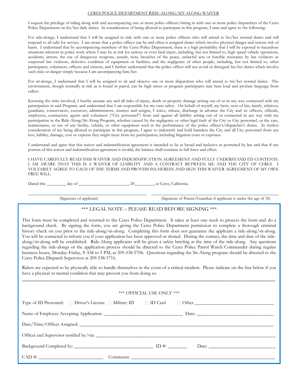#### CERES POLICE DEPARTMENT RIDE-ALONG/SIT-ALONG WAIVER

I request the privilege of riding along with and accompanying one or more police officers/sitting in with one or more police dispatchers of the Ceres Police Department on his/her daily duties. In consideration of being allowed to participate in this program, I state and agree to the following:

For ride-alongs, I understand that I will be assigned to ride with one or more police officers who will attend to his/her normal duties and will respond to all calls for service. I am aware that a police officer can be and often is assigned duties which involve physical danger and serious risk of harm. I understand that by accompanying members of the Ceres Police Department, there is a high probability that I will be exposed to hazardous situations inherent in police work where I may be at risk for serious or even fatal injury, including, but not limited to, high speed vehicle operations, accidents, arrests, the use of dangerous weapons, assault, riots, breaches of the peace, unlawful acts or forcible resistance by law violators or suspected law violators, defective condition of equipment or facilities, and the negligence of other people, including, but not limited to, other participants, volunteers, officers and citizens, and I further understand that the police officer will not avoid or disregard his/her duties which involve such risks or danger simply because I am accompanying him/her.

For sit-alongs, I understand that I will be assigned to sit and observe one or more dispatchers who will attend to his/her normal duties. The environment, though normally at risk as is found in patrol, can be high stress or program participants may hear loud and profane language from callers.

Knowing the risks involved, I hereby assume any and all risks of injury, death or property damage arising out of or in any way connected with my participation in said Program, and understand that I am responsible for my own safety. On behalf of myself, my heirs, next of kin, family, relatives, guardians, conservators, executors, administrators, trustees and assigns, I waive, release, discharge in advance the City and its officers, officials, employees, contractors, agents and volunteers ("City personnel") from and against all liability arising out of or connected in any way with my participation in the Ride-Along/Sit-Along Program, whether caused by the negligence or other legal fault of the City or City personnel, or the care, maintenance, or use of any facility, vehicle, or other equipment used in the performance of the police officer's/dispatcher's duties. In further consideration of my being allowed to participate in this program, I agree to indemnify and hold harmless the City and all City personnel from any loss, liability, damage, cost or expense they might incur from my participation, including litigation costs or expenses.

I understand and agree that this waiver and indemnification agreement is intended to be as broad and inclusive as permitted by law and that if any portion of this waiver and indemnification agreement is invalid, the balance shall continue in full force and effect.

I HAVE CAREFULLY READ THIS WAIVER AND INDEMNIFICATION AGREEMENT AND FULLY UNDERSTAND ITS CONTENTS. I AM AWARE THAT THIS IS A WAIVER OF LIABILITY AND A CONTRACT BETWEEN ME AND THE CITY OF CERES. I VOLTARILY AGREE TO EACH OF THE TERMS AND PROVISIONS HEREIN AND SIGN THIS WAIVER AGREEMENT OF MY OWN FREE WILL.

\_\_\_\_\_\_\_\_\_\_\_\_\_\_\_\_\_\_\_\_\_\_\_\_\_\_\_\_\_\_\_\_\_\_\_\_\_\_\_\_\_\_\_\_\_\_\_\_\_\_\_\_\_\_\_ \_\_\_\_\_\_\_\_\_\_\_\_\_\_\_\_\_\_\_\_\_\_\_\_\_\_\_\_\_\_\_\_\_\_\_\_\_\_\_\_\_\_\_\_\_\_\_\_\_\_\_\_\_\_\_\_\_\_\_

Dated this \_\_\_\_\_\_\_\_\_ day of \_\_\_\_\_\_\_\_\_\_\_\_\_\_\_\_\_\_\_\_\_\_\_, 20\_\_\_\_\_\_\_\_\_, at Ceres, California.

(Signature of applicant) (Signature of Parent/Guardian if applicant is under the age of 18)

#### \*\*\* LEGAL NOTE – PLEASE READ BEFORE SIGNING \*\*\*

background check. By signing the form, you are giving the Ceres Police Department permission to complete a thorough criminal This form must be completed and returned to the Ceres Police Department. It takes at least one week to process the form and do a history check on you prior to the ride-along/sit-along. Completing this form does not guarantee the applicant a ride-along/sit-along. You will be contacted to inform you if your application has been approved or denied. During the contact, the time and date of the ridealong/sit-along will be established. Ride-Along applicants will be given a safety briefing at the time of the ride-along. Any questions regarding the ride-alongs or the application process should be directed to the Ceres Police Patrol Watch Commander during regular business hours, Monday-Friday, 8 AM to 5 PM, at 209-538-5706. Questions regarding the Sit-Along program should be directed to the Ceres Police Dispatch Supervisor at 209-538-5716.

Riders are expected to be physically able to handle themselves in the event of a critical incident. Please indicate on the line below if you have a physical or mental condition that may prevent you from doing so. \_\_\_\_\_\_\_\_\_\_\_\_\_\_\_\_\_\_\_\_\_\_\_\_\_\_\_\_\_\_\_\_\_\_\_\_\_\_\_\_\_\_\_\_\_\_\_\_\_\_\_\_\_\_\_\_\_\_\_\_\_\_\_\_\_\_\_\_\_\_\_\_\_\_\_\_\_\_\_\_\_\_\_\_\_\_\_\_\_\_\_\_\_\_\_

| *** OFFICIAL USE ONLY *** |  |  |                                                                                                     |
|---------------------------|--|--|-----------------------------------------------------------------------------------------------------|
|                           |  |  | Type of ID Presented: $\Box$ Driver's License $\Box$ Military ID $\Box$ ID Card $\Box$ Other $\Box$ |
|                           |  |  |                                                                                                     |
|                           |  |  |                                                                                                     |
|                           |  |  |                                                                                                     |
|                           |  |  |                                                                                                     |
|                           |  |  |                                                                                                     |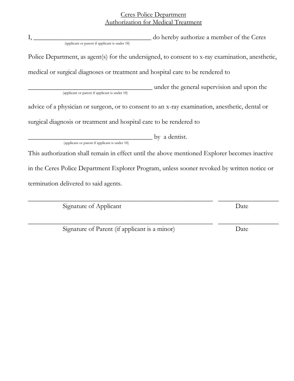#### Ceres Police Department Authorization for Medical Treatment

I, \_\_\_\_\_\_\_\_\_\_\_\_\_\_\_\_\_\_\_\_\_\_\_\_\_\_\_\_\_\_\_\_\_\_\_ do hereby authorize a member of the Ceres (applicant or parent if applicant is under 18) Police Department, as agent(s) for the undersigned, to consent to x-ray examination, anesthetic, medical or surgical diagnoses or treatment and hospital care to be rendered to \_\_\_\_\_\_\_\_\_\_\_\_\_\_\_\_\_\_\_\_\_\_\_\_\_\_\_\_\_\_\_\_\_\_\_\_\_ under the general supervision and upon the (applicant or parent if applicant is under 18) advice of a physician or surgeon, or to consent to an x-ray examination, anesthetic, dental or surgical diagnosis or treatment and hospital care to be rendered to \_\_\_\_\_\_\_\_\_\_\_\_\_\_\_\_\_\_\_\_\_\_\_\_\_\_\_\_\_\_\_\_\_\_\_\_\_ by a dentist. (applicant or parent if applicant is under 18)

This authorization shall remain in effect until the above mentioned Explorer becomes inactive in the Ceres Police Department Explorer Program, unless sooner revoked by written notice or termination delivered to said agents.

\_\_\_\_\_\_\_\_\_\_\_\_\_\_\_\_\_\_\_\_\_\_\_\_\_\_\_\_\_\_\_\_\_\_\_\_\_\_\_\_\_\_\_\_\_\_\_\_\_\_\_\_\_\_\_ \_\_\_\_\_\_\_\_\_\_\_\_\_\_\_\_\_\_

Signature of Applicant Date

Signature of Parent (if applicant is a minor) Date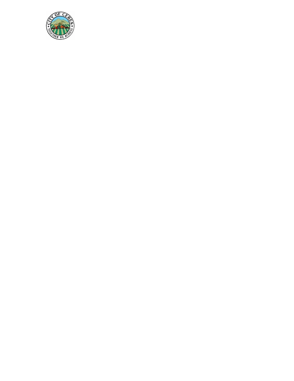